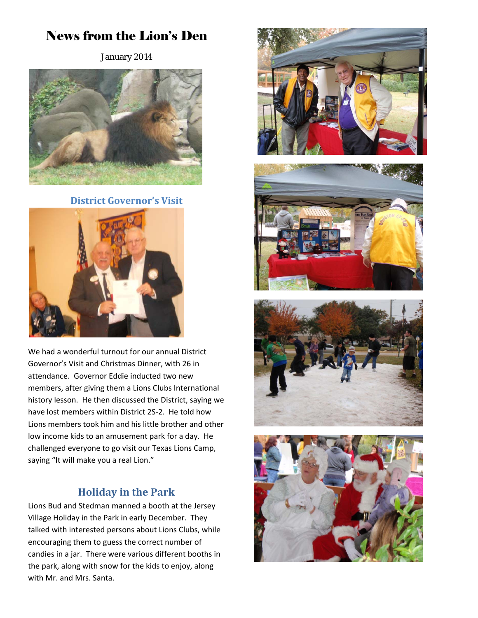# News from the Lion's Den

January 2014



**District Governor's Visit**



We had a wonderful turnout for our annual District Governor's Visit and Christmas Dinner, with 26 in attendance. Governor Eddie inducted two new members, after giving them a Lions Clubs International history lesson. He then discussed the District, saying we have lost members within District 2S‐2. He told how Lions members took him and his little brother and other low income kids to an amusement park for a day. He challenged everyone to go visit our Texas Lions Camp, saying "It will make you a real Lion."

### **Holiday in the Park**

Lions Bud and Stedman manned a booth at the Jersey Village Holiday in the Park in early December. They talked with interested persons about Lions Clubs, while encouraging them to guess the correct number of candies in a jar. There were various different booths in the park, along with snow for the kids to enjoy, along with Mr. and Mrs. Santa.







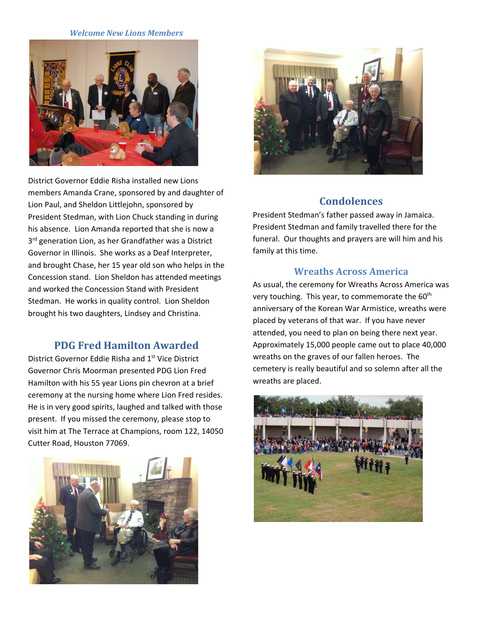#### *Welcome New Lions Members*



District Governor Eddie Risha installed new Lions members Amanda Crane, sponsored by and daughter of Lion Paul, and Sheldon Littlejohn, sponsored by President Stedman, with Lion Chuck standing in during his absence. Lion Amanda reported that she is now a 3<sup>rd</sup> generation Lion, as her Grandfather was a District Governor in Illinois. She works as a Deaf Interpreter, and brought Chase, her 15 year old son who helps in the Concession stand. Lion Sheldon has attended meetings and worked the Concession Stand with President Stedman. He works in quality control. Lion Sheldon brought his two daughters, Lindsey and Christina.

#### **PDG Fred Hamilton Awarded**

District Governor Eddie Risha and 1st Vice District Governor Chris Moorman presented PDG Lion Fred Hamilton with his 55 year Lions pin chevron at a brief ceremony at the nursing home where Lion Fred resides. He is in very good spirits, laughed and talked with those present. If you missed the ceremony, please stop to visit him at The Terrace at Champions, room 122, 14050 Cutter Road, Houston 77069.





#### **Condolences**

President Stedman's father passed away in Jamaica. President Stedman and family travelled there for the funeral. Our thoughts and prayers are will him and his family at this time.

#### **Wreaths Across America**

As usual, the ceremony for Wreaths Across America was very touching. This year, to commemorate the 60<sup>th</sup> anniversary of the Korean War Armistice, wreaths were placed by veterans of that war. If you have never attended, you need to plan on being there next year. Approximately 15,000 people came out to place 40,000 wreaths on the graves of our fallen heroes. The cemetery is really beautiful and so solemn after all the wreaths are placed.

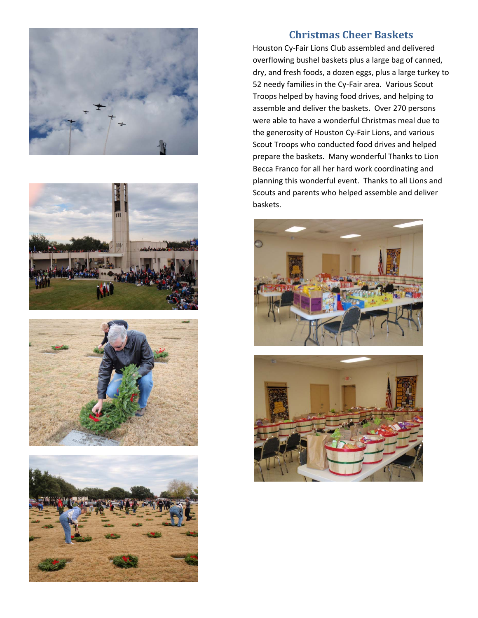







#### **Christmas Cheer Baskets**

Houston Cy‐Fair Lions Club assembled and delivered overflowing bushel baskets plus a large bag of canned, dry, and fresh foods, a dozen eggs, plus a large turkey to 52 needy families in the Cy‐Fair area. Various Scout Troops helped by having food drives, and helping to assemble and deliver the baskets. Over 270 persons were able to have a wonderful Christmas meal due to the generosity of Houston Cy‐Fair Lions, and various Scout Troops who conducted food drives and helped prepare the baskets. Many wonderful Thanks to Lion Becca Franco for all her hard work coordinating and planning this wonderful event. Thanks to all Lions and Scouts and parents who helped assemble and deliver baskets.